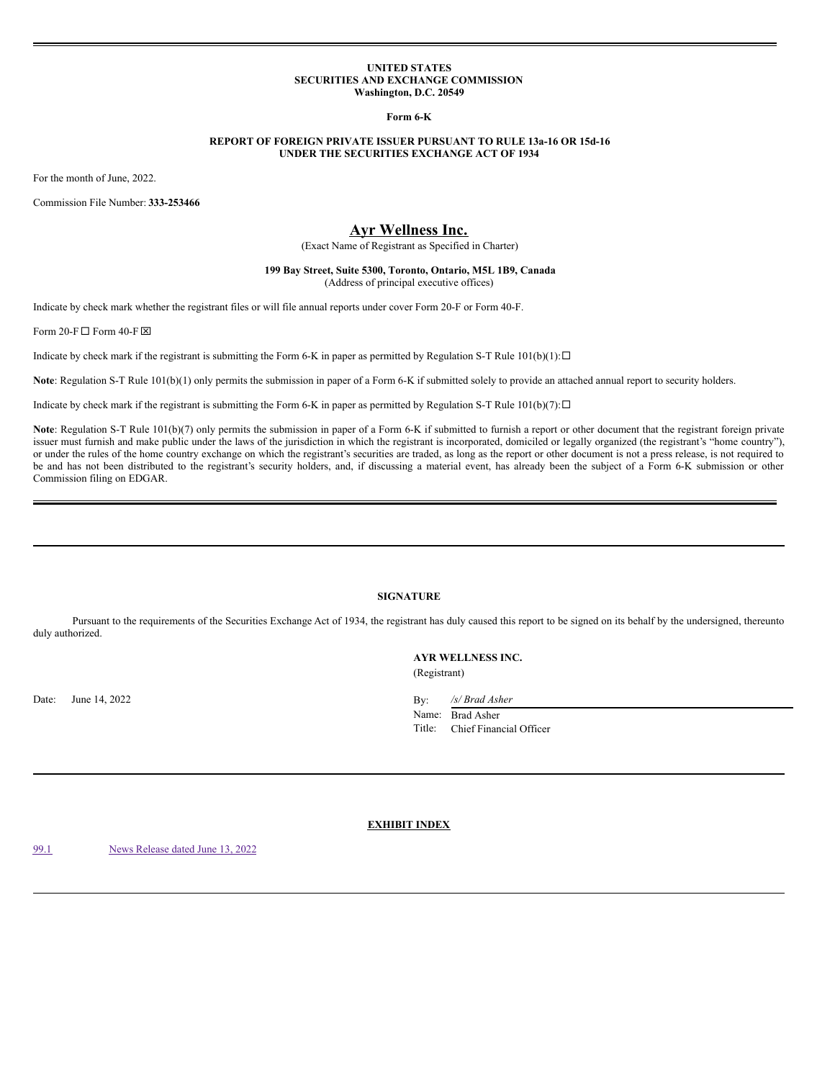### **UNITED STATES SECURITIES AND EXCHANGE COMMISSION Washington, D.C. 20549**

**Form 6-K**

## **REPORT OF FOREIGN PRIVATE ISSUER PURSUANT TO RULE 13a-16 OR 15d-16 UNDER THE SECURITIES EXCHANGE ACT OF 1934**

For the month of June, 2022.

Commission File Number: **333-253466**

# **Ayr Wellness Inc.**

(Exact Name of Registrant as Specified in Charter)

## **199 Bay Street, Suite 5300, Toronto, Ontario, M5L 1B9, Canada** (Address of principal executive offices)

Indicate by check mark whether the registrant files or will file annual reports under cover Form 20-F or Form 40-F.

Form 20-F  $\Box$  Form 40-F  $\boxtimes$ 

Indicate by check mark if the registrant is submitting the Form 6-K in paper as permitted by Regulation S-T Rule  $101(b)(1): \Box$ 

**Note**: Regulation S-T Rule 101(b)(1) only permits the submission in paper of a Form 6-K if submitted solely to provide an attached annual report to security holders.

Indicate by check mark if the registrant is submitting the Form 6-K in paper as permitted by Regulation S-T Rule  $101(b)(7): \Box$ 

Note: Regulation S-T Rule 101(b)(7) only permits the submission in paper of a Form 6-K if submitted to furnish a report or other document that the registrant foreign private issuer must furnish and make public under the laws of the jurisdiction in which the registrant is incorporated, domiciled or legally organized (the registrant's "home country"), or under the rules of the home country exchange on which the registrant's securities are traded, as long as the report or other document is not a press release, is not required to be and has not been distributed to the registrant's security holders, and, if discussing a material event, has already been the subject of a Form 6-K submission or other Commission filing on EDGAR.

#### **SIGNATURE**

Pursuant to the requirements of the Securities Exchange Act of 1934, the registrant has duly caused this report to be signed on its behalf by the undersigned, thereunto duly authorized.

> **AYR WELLNESS INC.** (Registrant)

Date: June 14, 2022

| By:    | /s/ Brad Asher          |
|--------|-------------------------|
| Name:  | <b>Brad Asher</b>       |
| Title: | Chief Financial Officer |

**EXHIBIT INDEX**

[99.1](#page-1-0) News [Release](#page-1-0) dated June 13, 2022